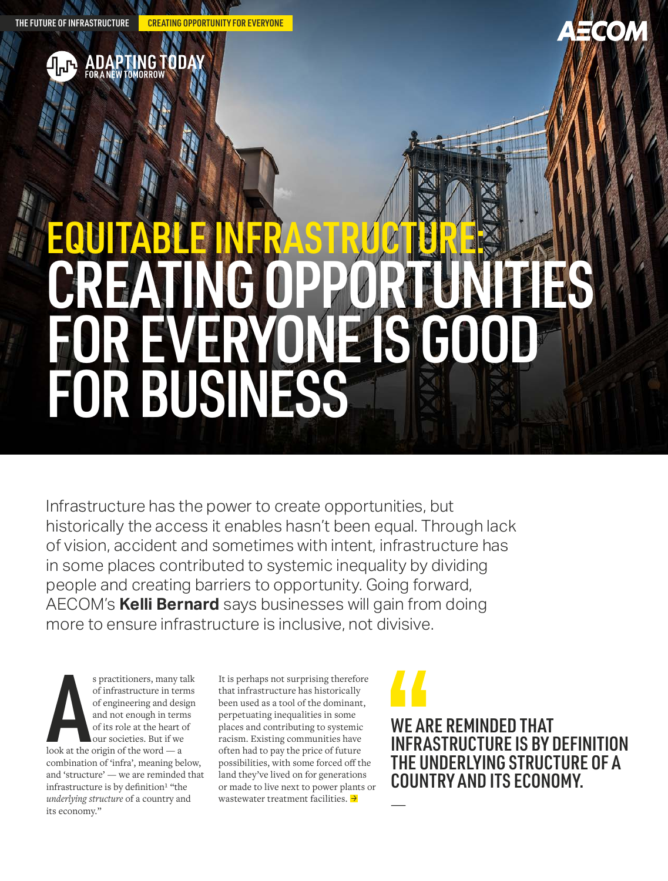**OR A NEW** 

**TOMORROV** 

THE FUTURE OF INFRASTRUCTURE CREATING OPPORTUNITY FOR EVERYONE



# EQUITABLE INFRASTRUCTURE: CREATING OPPORTUNITIES FOR EVERYONE IS GOOD FOR BUSINESS

Infrastructure has the power to create opportunities, but historically the access it enables hasn't been equal. Through lack of vision, accident and sometimes with intent, infrastructure has in some places contributed to systemic inequality by dividing people and creating barriers to opportunity. Going forward, AECOM's **Kelli Bernard** says businesses will gain from doing more to ensure infrastructure is inclusive, not divisive.

s practitioners, many t<br>
of infrastructure in ter<br>
of engineering and des<br>
and not enough in tern<br>
of its role at the heart c<br>
our societies. But if we<br>
look at the origin of the word — a s practitioners, many talk of infrastructure in terms of engineering and design and not enough in terms of its role at the heart of our societies. But if we combination of 'infra', meaning below, and 'structure' — we are reminded that infrastructure is by definition<sup>1</sup> "the *underlying structure* of a country and its economy."

It is perhaps not surprising therefore that infrastructure has historically been used as a tool of the dominant, perpetuating inequalities in some places and contributing to systemic racism. Existing communities have often had to pay the price of future possibilities, with some forced off the land they've lived on for generations or made to live next to power plants or wastewater treatment facilities.  $\rightarrow$ 



—

WE ARE REMINDED THAT INFRASTRUCTURE IS BY DEFINITION THE UNDERLYING STRUCTURE OF A COUNTRY AND ITS ECONOMY.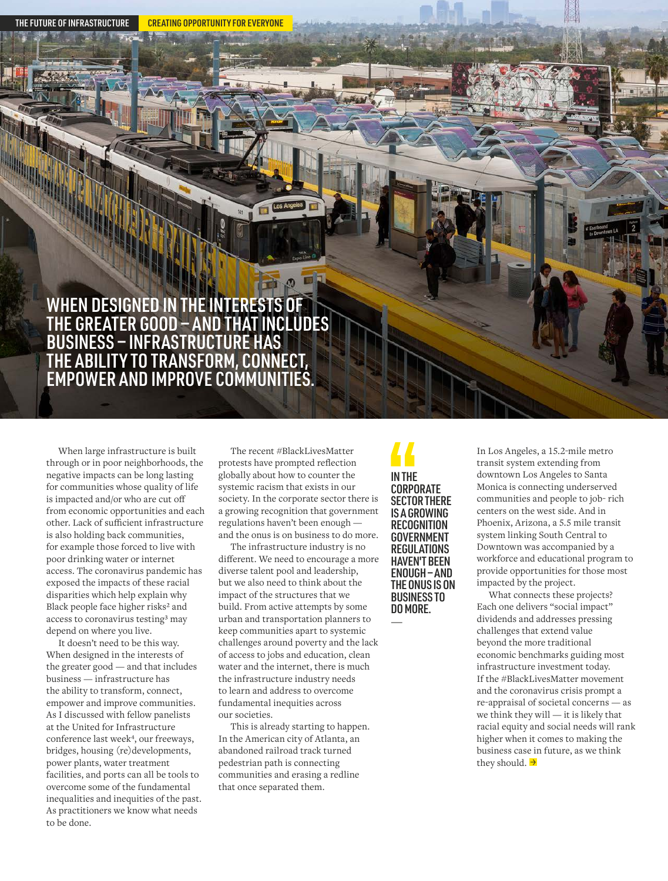THE FUTURE OF INFRASTRUCTURE **CREATING OPPORTUNITY FOR EVERYONE** 

## WHEN DESIGNED IN THE INTERESTS OF THE GREATER GOOD — AND THAT INCLUDES BUSINESS — INFRASTRUCTURE HAS THE ABILITY TO TRANSFORM, CONNECT, EMPOWER AND IMPROVE COMMUNITIES.

When large infrastructure is built through or in poor neighborhoods, the negative impacts can be long lasting for communities whose quality of life is impacted and/or who are cut off from economic opportunities and each other. Lack of sufficient infrastructure is also holding back communities, for example those forced to live with poor drinking water or internet access. The coronavirus pandemic has exposed the impacts of these racial disparities which help explain why Black people face higher risks<sup>2</sup> and access to coronavirus testing<sup>3</sup> may depend on where you live.

It doesn't need to be this way. When designed in the interests of the greater good — and that includes business — infrastructure has the ability to transform, connect, empower and improve communities. As I discussed with fellow panelists at the United for Infrastructure conference last week<sup>4</sup>, our freeways, bridges, housing (re)developments, power plants, water treatment facilities, and ports can all be tools to overcome some of the fundamental inequalities and inequities of the past. As practitioners we know what needs to be done.

The recent #BlackLivesMatter protests have prompted reflection globally about how to counter the systemic racism that exists in our society. In the corporate sector there is a growing recognition that government regulations haven't been enough and the onus is on business to do more.

The infrastructure industry is no different. We need to encourage a more diverse talent pool and leadership, but we also need to think about the impact of the structures that we build. From active attempts by some urban and transportation planners to keep communities apart to systemic challenges around poverty and the lack of access to jobs and education, clean water and the internet, there is much the infrastructure industry needs to learn and address to overcome fundamental inequities across our societies.

This is already starting to happen. In the American city of Atlanta, an abandoned railroad track turned pedestrian path is connecting communities and erasing a redline that once separated them.

IN THE CORPORATE SECTOR THERE IS A GROWING **RECOGNITION GOVERNMENT REGULATIONS** HAVEN'T BEEN ENOUGH — AND THE ONUS IS ON BUSINESS TO DO MORE.

—

In Los Angeles, a 15.2-mile metro transit system extending from downtown Los Angeles to Santa Monica is connecting underserved communities and people to job- rich centers on the west side. And in Phoenix, Arizona, a 5.5 mile transit system linking South Central to Downtown was accompanied by a workforce and educational program to provide opportunities for those most impacted by the project.

What connects these projects? Each one delivers "social impact" dividends and addresses pressing challenges that extend value beyond the more traditional economic benchmarks guiding most infrastructure investment today. If the #BlackLivesMatter movement and the coronavirus crisis prompt a re-appraisal of societal concerns — as we think they will — it is likely that racial equity and social needs will rank higher when it comes to making the business case in future, as we think they should.  $\rightarrow$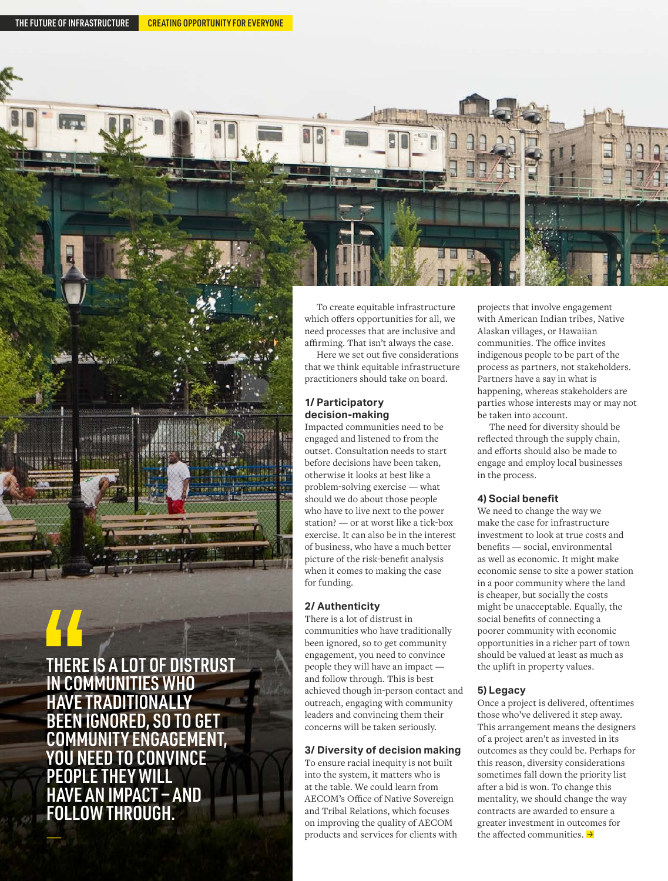THERE IS A LOT OF DISTRUST IN COMMUNITIES WHO **HAVE TRADITIONA** 

BEEN IGNORED, SO TO GET COMMUNITY ENGAGEMENT, YOU NEED TO CONVINCE PEOPLE THEY WILL HAVE AN IMPACT — AND FOLLOW THROUGH.

 $\frac{1}{\sqrt{2}}$ 

To create equitable infrastructure which offers opportunities for all, we need processes that are inclusive and affirming. That isn't always the case.

Here we set out five considerations that we think equitable infrastructure practitioners should take on board.

#### **1/ Participatory decision-making**

Impacted communities need to be engaged and listened to from the outset. Consultation needs to start before decisions have been taken, otherwise it looks at best like a problem-solving exercise — what should we do about those people who have to live next to the power station? — or at worst like a tick-box exercise. It can also be in the interest of business, who have a much better picture of the risk-benefit analysis when it comes to making the case for funding.

#### **2/ Authenticity**

There is a lot of distrust in communities who have traditionally been ignored, so to get community engagement, you need to convince people they will have an impact and follow through. This is best achieved though in-person contact and outreach, engaging with community leaders and convincing them their concerns will be taken seriously.

#### **3/ Diversity of decision making**

To ensure racial inequity is not built into the system, it matters who is at the table. We could learn from AECOM's Office of Native Sovereign and Tribal Relations, which focuses on improving the quality of AECOM products and services for clients with projects that involve engagement with American Indian tribes, Native Alaskan villages, or Hawaiian communities. The office invites indigenous people to be part of the process as partners, not stakeholders. Partners have a say in what is happening, whereas stakeholders are parties whose interests may or may not be taken into account.

The need for diversity should be reflected through the supply chain, and efforts should also be made to engage and employ local businesses in the process.

#### **4) Social benefit**

We need to change the way we make the case for infrastructure investment to look at true costs and benefits — social, environmental as well as economic. It might make economic sense to site a power station in a poor community where the land is cheaper, but socially the costs might be unacceptable. Equally, the social benefits of connecting a poorer community with economic opportunities in a richer part of town should be valued at least as much as the uplift in property values.

#### **5) Legacy**

Once a project is delivered, oftentimes those who've delivered it step away. This arrangement means the designers of a project aren't as invested in its outcomes as they could be. Perhaps for this reason, diversity considerations sometimes fall down the priority list after a bid is won. To change this mentality, we should change the way contracts are awarded to ensure a greater investment in outcomes for the affected communities.  $\rightarrow$